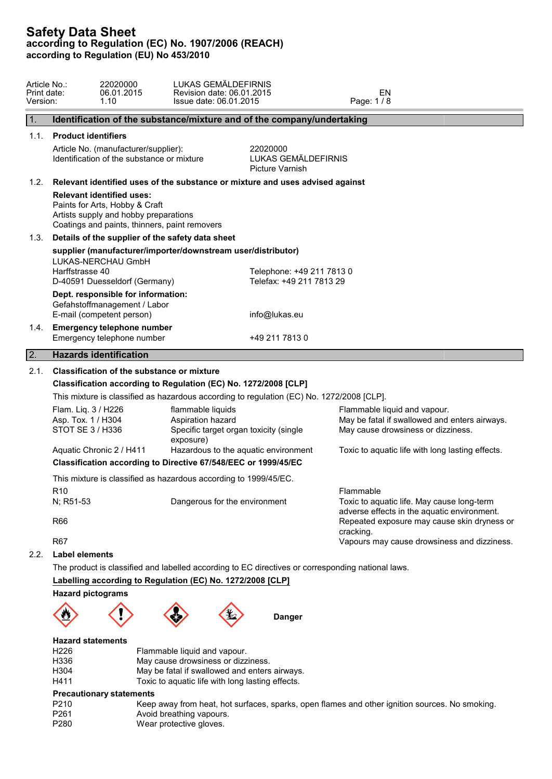| Article No.:<br>Print date:<br>Version: |                                                                                                                                                                                                                                                     | 22020000<br>06.01.2015<br>1.10                                                                    | LUKAS GEMÄLDEFIRNIS<br>Revision date: 06.01.2015<br>Issue date: 06.01.2015                                                                                              |                                                                               | EN<br>Page: 1/8                                                                                         |  |  |  |  |
|-----------------------------------------|-----------------------------------------------------------------------------------------------------------------------------------------------------------------------------------------------------------------------------------------------------|---------------------------------------------------------------------------------------------------|-------------------------------------------------------------------------------------------------------------------------------------------------------------------------|-------------------------------------------------------------------------------|---------------------------------------------------------------------------------------------------------|--|--|--|--|
| $\vert$ 1.                              |                                                                                                                                                                                                                                                     |                                                                                                   |                                                                                                                                                                         | Identification of the substance/mixture and of the company/undertaking        |                                                                                                         |  |  |  |  |
| 1.1.                                    |                                                                                                                                                                                                                                                     | <b>Product identifiers</b>                                                                        |                                                                                                                                                                         |                                                                               |                                                                                                         |  |  |  |  |
|                                         | Article No. (manufacturer/supplier):<br>Identification of the substance or mixture                                                                                                                                                                  |                                                                                                   |                                                                                                                                                                         | 22020000<br>LUKAS GEMÄLDEFIRNIS<br>Picture Varnish                            |                                                                                                         |  |  |  |  |
| 1.2.                                    |                                                                                                                                                                                                                                                     | Relevant identified uses of the substance or mixture and uses advised against                     |                                                                                                                                                                         |                                                                               |                                                                                                         |  |  |  |  |
|                                         | <b>Relevant identified uses:</b><br>Paints for Arts, Hobby & Craft<br>Artists supply and hobby preparations<br>Coatings and paints, thinners, paint removers                                                                                        |                                                                                                   |                                                                                                                                                                         |                                                                               |                                                                                                         |  |  |  |  |
| 1.3.                                    |                                                                                                                                                                                                                                                     |                                                                                                   | Details of the supplier of the safety data sheet                                                                                                                        |                                                                               |                                                                                                         |  |  |  |  |
|                                         | Harffstrasse 40                                                                                                                                                                                                                                     | LUKAS-NERCHAU GmbH<br>D-40591 Duesseldorf (Germany)                                               | supplier (manufacturer/importer/downstream user/distributor)                                                                                                            |                                                                               | Telephone: +49 211 7813 0<br>Telefax: +49 211 7813 29                                                   |  |  |  |  |
|                                         |                                                                                                                                                                                                                                                     | Dept. responsible for information:<br>Gefahstoffmanagement / Labor<br>E-mail (competent person)   |                                                                                                                                                                         | info@lukas.eu                                                                 |                                                                                                         |  |  |  |  |
| 1.4.                                    |                                                                                                                                                                                                                                                     | <b>Emergency telephone number</b><br>Emergency telephone number                                   |                                                                                                                                                                         | +49 211 7813 0                                                                |                                                                                                         |  |  |  |  |
| $\sqrt{2}$ .                            |                                                                                                                                                                                                                                                     | <b>Hazards identification</b>                                                                     |                                                                                                                                                                         |                                                                               |                                                                                                         |  |  |  |  |
|                                         | Classification according to Regulation (EC) No. 1272/2008 [CLP]<br>This mixture is classified as hazardous according to regulation (EC) No. 1272/2008 [CLP].<br>Flam. Liq. 3 / H226<br>flammable liquids<br>Asp. Tox. 1 / H304<br>Aspiration hazard |                                                                                                   |                                                                                                                                                                         | Flammable liquid and vapour.<br>May be fatal if swallowed and enters airways. |                                                                                                         |  |  |  |  |
|                                         | STOT SE 3 / H336                                                                                                                                                                                                                                    | Aquatic Chronic 2 / H411                                                                          | Specific target organ toxicity (single<br>exposure)                                                                                                                     | Hazardous to the aquatic environment                                          | May cause drowsiness or dizziness.<br>Toxic to aquatic life with long lasting effects.                  |  |  |  |  |
|                                         |                                                                                                                                                                                                                                                     | Classification according to Directive 67/548/EEC or 1999/45/EC                                    |                                                                                                                                                                         |                                                                               |                                                                                                         |  |  |  |  |
|                                         |                                                                                                                                                                                                                                                     | This mixture is classified as hazardous according to 1999/45/EC.                                  |                                                                                                                                                                         |                                                                               |                                                                                                         |  |  |  |  |
|                                         | R <sub>10</sub><br>N; R51-53                                                                                                                                                                                                                        |                                                                                                   | Dangerous for the environment                                                                                                                                           |                                                                               | Flammable<br>Toxic to aquatic life. May cause long-term<br>adverse effects in the aquatic environment.  |  |  |  |  |
|                                         | <b>R66</b><br><b>R67</b>                                                                                                                                                                                                                            |                                                                                                   |                                                                                                                                                                         |                                                                               | Repeated exposure may cause skin dryness or<br>cracking.<br>Vapours may cause drowsiness and dizziness. |  |  |  |  |
| 2.2.                                    | Label elements                                                                                                                                                                                                                                      |                                                                                                   |                                                                                                                                                                         |                                                                               |                                                                                                         |  |  |  |  |
|                                         |                                                                                                                                                                                                                                                     | The product is classified and labelled according to EC directives or corresponding national laws. |                                                                                                                                                                         |                                                                               |                                                                                                         |  |  |  |  |
|                                         |                                                                                                                                                                                                                                                     | Labelling according to Regulation (EC) No. 1272/2008 [CLP]                                        |                                                                                                                                                                         |                                                                               |                                                                                                         |  |  |  |  |
|                                         |                                                                                                                                                                                                                                                     | <b>Hazard pictograms</b>                                                                          |                                                                                                                                                                         |                                                                               |                                                                                                         |  |  |  |  |
|                                         |                                                                                                                                                                                                                                                     |                                                                                                   |                                                                                                                                                                         | <b>Danger</b>                                                                 |                                                                                                         |  |  |  |  |
|                                         | H <sub>226</sub><br>H336<br>H304<br>H411                                                                                                                                                                                                            | <b>Hazard statements</b>                                                                          | Flammable liquid and vapour.<br>May cause drowsiness or dizziness.<br>May be fatal if swallowed and enters airways.<br>Toxic to aquatic life with long lasting effects. |                                                                               |                                                                                                         |  |  |  |  |
|                                         | P210<br>P261<br>P280                                                                                                                                                                                                                                | <b>Precautionary statements</b>                                                                   | Avoid breathing vapours.<br>Wear protective gloves.                                                                                                                     |                                                                               | Keep away from heat, hot surfaces, sparks, open flames and other ignition sources. No smoking.          |  |  |  |  |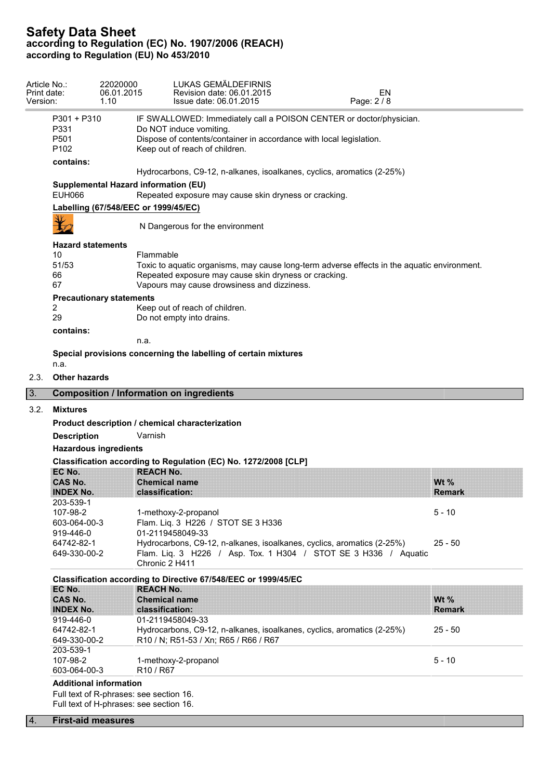| Version: | Article No.:<br>Print date:                                             | 22020000<br>06.01.2015<br>1.10       | LUKAS GEMÄLDEFIRNIS<br>Revision date: 06.01.2015<br>EN<br>Page: 2/8<br>Issue date: 06.01.2015                                                                                                           |               |  |  |  |  |
|----------|-------------------------------------------------------------------------|--------------------------------------|---------------------------------------------------------------------------------------------------------------------------------------------------------------------------------------------------------|---------------|--|--|--|--|
|          | P301 + P310<br>P331<br>P501<br>P <sub>102</sub>                         |                                      | IF SWALLOWED: Immediately call a POISON CENTER or doctor/physician.<br>Do NOT induce vomiting.<br>Dispose of contents/container in accordance with local legislation.<br>Keep out of reach of children. |               |  |  |  |  |
|          | contains:                                                               |                                      |                                                                                                                                                                                                         |               |  |  |  |  |
|          |                                                                         |                                      | Hydrocarbons, C9-12, n-alkanes, isoalkanes, cyclics, aromatics (2-25%)                                                                                                                                  |               |  |  |  |  |
|          | <b>EUH066</b>                                                           | Supplemental Hazard information (EU) | Repeated exposure may cause skin dryness or cracking.                                                                                                                                                   |               |  |  |  |  |
|          |                                                                         | Labelling (67/548/EEC or 1999/45/EC) |                                                                                                                                                                                                         |               |  |  |  |  |
|          |                                                                         |                                      | N Dangerous for the environment                                                                                                                                                                         |               |  |  |  |  |
|          | <b>Hazard statements</b>                                                |                                      |                                                                                                                                                                                                         |               |  |  |  |  |
|          | 10                                                                      | Flammable                            |                                                                                                                                                                                                         |               |  |  |  |  |
|          | 51/53                                                                   |                                      | Toxic to aquatic organisms, may cause long-term adverse effects in the aquatic environment.                                                                                                             |               |  |  |  |  |
|          | 66<br>67                                                                |                                      | Repeated exposure may cause skin dryness or cracking.<br>Vapours may cause drowsiness and dizziness.                                                                                                    |               |  |  |  |  |
|          |                                                                         |                                      |                                                                                                                                                                                                         |               |  |  |  |  |
|          | 2                                                                       | <b>Precautionary statements</b>      | Keep out of reach of children.                                                                                                                                                                          |               |  |  |  |  |
|          | 29                                                                      |                                      | Do not empty into drains.                                                                                                                                                                               |               |  |  |  |  |
|          | contains:                                                               |                                      |                                                                                                                                                                                                         |               |  |  |  |  |
|          |                                                                         | n.a.                                 |                                                                                                                                                                                                         |               |  |  |  |  |
|          | Special provisions concerning the labelling of certain mixtures<br>n.a. |                                      |                                                                                                                                                                                                         |               |  |  |  |  |
| 2.3.     | <b>Other hazards</b>                                                    |                                      |                                                                                                                                                                                                         |               |  |  |  |  |
| 3.       |                                                                         |                                      | <b>Composition / Information on ingredients</b>                                                                                                                                                         |               |  |  |  |  |
| 3.2.     | <b>Mixtures</b>                                                         |                                      |                                                                                                                                                                                                         |               |  |  |  |  |
|          |                                                                         |                                      | Product description / chemical characterization                                                                                                                                                         |               |  |  |  |  |
|          | <b>Description</b>                                                      | Varnish                              |                                                                                                                                                                                                         |               |  |  |  |  |
|          |                                                                         |                                      |                                                                                                                                                                                                         |               |  |  |  |  |
|          |                                                                         |                                      |                                                                                                                                                                                                         |               |  |  |  |  |
|          | <b>Hazardous ingredients</b>                                            |                                      |                                                                                                                                                                                                         |               |  |  |  |  |
|          |                                                                         |                                      | Classification according to Regulation (EC) No. 1272/2008 [CLP]                                                                                                                                         |               |  |  |  |  |
|          | EC No.<br><b>CAS No.</b>                                                | <b>REACH No.</b>                     | <b>Chemical name</b>                                                                                                                                                                                    | Wt $%$        |  |  |  |  |
|          | <b>INDEX No.</b>                                                        |                                      | classification:                                                                                                                                                                                         | <b>Remark</b> |  |  |  |  |
|          | 203-539-1                                                               |                                      |                                                                                                                                                                                                         |               |  |  |  |  |
|          | 107-98-2                                                                |                                      | 1-methoxy-2-propanol                                                                                                                                                                                    | $5 - 10$      |  |  |  |  |
|          | 603-064-00-3                                                            |                                      | Flam. Liq. 3 H226 / STOT SE 3 H336                                                                                                                                                                      |               |  |  |  |  |
|          | 919-446-0<br>64742-82-1                                                 |                                      | 01-2119458049-33<br>Hydrocarbons, C9-12, n-alkanes, isoalkanes, cyclics, aromatics (2-25%)                                                                                                              | $25 - 50$     |  |  |  |  |
|          | 649-330-00-2                                                            |                                      | Flam. Liq. 3 H226 / Asp. Tox. 1 H304 / STOT SE 3 H336 / Aquatic<br>Chronic 2 H411                                                                                                                       |               |  |  |  |  |
|          |                                                                         |                                      |                                                                                                                                                                                                         |               |  |  |  |  |
|          | EC No.                                                                  | <b>REACH No.</b>                     | Classification according to Directive 67/548/EEC or 1999/45/EC                                                                                                                                          |               |  |  |  |  |
|          | <b>CAS No.</b>                                                          |                                      | <b>Chemical name</b>                                                                                                                                                                                    | Wt $%$        |  |  |  |  |
|          | <b>INDEX No.</b>                                                        |                                      | classification:                                                                                                                                                                                         | <b>Remark</b> |  |  |  |  |
|          | 919-446-0                                                               |                                      | 01-2119458049-33                                                                                                                                                                                        |               |  |  |  |  |
|          | 64742-82-1                                                              |                                      | Hydrocarbons, C9-12, n-alkanes, isoalkanes, cyclics, aromatics (2-25%)                                                                                                                                  | $25 - 50$     |  |  |  |  |
|          | 649-330-00-2<br>203-539-1                                               |                                      | R10 / N; R51-53 / Xn; R65 / R66 / R67                                                                                                                                                                   |               |  |  |  |  |
|          | 107-98-2<br>603-064-00-3                                                | R <sub>10</sub> / R <sub>67</sub>    | 1-methoxy-2-propanol                                                                                                                                                                                    | $5 - 10$      |  |  |  |  |

# 4. **First-aid measures**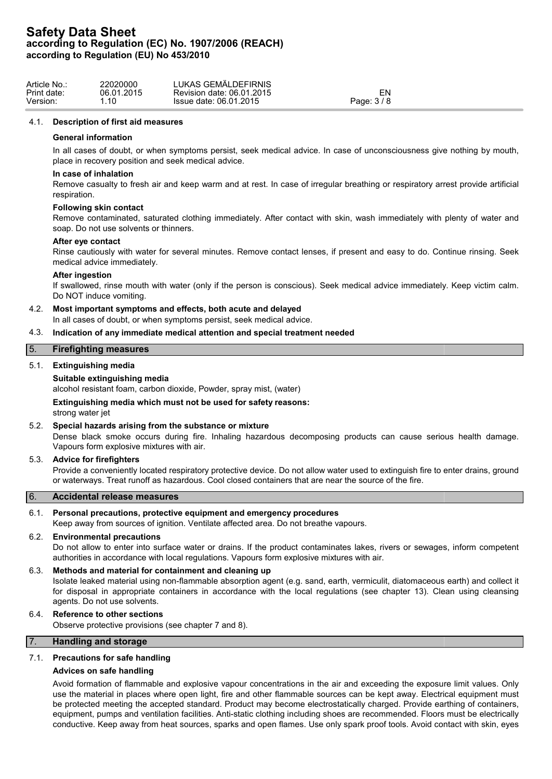| Article No.: | 22020000   | LUKAS GEMÄLDEFIRNIS          |           |  |
|--------------|------------|------------------------------|-----------|--|
| Print date:  | 06.01.2015 | 06.01.2015<br>Revision date: | ור-       |  |
| Version:     | .10        | Issue date: 06.01.2015       | Page: 3/8 |  |

#### 4.1. **Description of first aid measures**

### **General information**

In all cases of doubt, or when symptoms persist, seek medical advice. In case of unconsciousness give nothing by mouth, place in recovery position and seek medical advice.

#### **In case of inhalation**

Remove casualty to fresh air and keep warm and at rest. In case of irregular breathing or respiratory arrest provide artificial respiration.

### **Following skin contact**

Remove contaminated, saturated clothing immediately. After contact with skin, wash immediately with plenty of water and soap. Do not use solvents or thinners.

### **After eye contact**

Rinse cautiously with water for several minutes. Remove contact lenses, if present and easy to do. Continue rinsing. Seek medical advice immediately.

### **After ingestion**

If swallowed, rinse mouth with water (only if the person is conscious). Seek medical advice immediately. Keep victim calm. Do NOT induce vomiting.

## 4.2. **Most important symptoms and effects, both acute and delayed**

In all cases of doubt, or when symptoms persist, seek medical advice.

### 4.3. **Indication of any immediate medical attention and special treatment needed**

# 5. **Firefighting measures**

## 5.1. **Extinguishing media**

### **Suitable extinguishing media**

alcohol resistant foam, carbon dioxide, Powder, spray mist, (water)

## **Extinguishing media which must not be used for safety reasons:**

strong water jet

## 5.2. **Special hazards arising from the substance or mixture**

Dense black smoke occurs during fire. Inhaling hazardous decomposing products can cause serious health damage. Vapours form explosive mixtures with air.

## 5.3. **Advice for firefighters**

Provide a conveniently located respiratory protective device. Do not allow water used to extinguish fire to enter drains, ground or waterways. Treat runoff as hazardous. Cool closed containers that are near the source of the fire.

### 6. **Accidental release measures**

## 6.1. **Personal precautions, protective equipment and emergency procedures**

Keep away from sources of ignition. Ventilate affected area. Do not breathe vapours.

## 6.2. **Environmental precautions**

Do not allow to enter into surface water or drains. If the product contaminates lakes, rivers or sewages, inform competent authorities in accordance with local regulations. Vapours form explosive mixtures with air.

### 6.3. **Methods and material for containment and cleaning up**

Isolate leaked material using non-flammable absorption agent (e.g. sand, earth, vermiculit, diatomaceous earth) and collect it for disposal in appropriate containers in accordance with the local regulations (see chapter 13). Clean using cleansing agents. Do not use solvents.

## 6.4. **Reference to other sections**

Observe protective provisions (see chapter 7 and 8).

# 7. **Handling and storage**

## 7.1. **Precautions for safe handling**

## **Advices on safe handling**

Avoid formation of flammable and explosive vapour concentrations in the air and exceeding the exposure limit values. Only use the material in places where open light, fire and other flammable sources can be kept away. Electrical equipment must be protected meeting the accepted standard. Product may become electrostatically charged. Provide earthing of containers, equipment, pumps and ventilation facilities. Anti-static clothing including shoes are recommended. Floors must be electrically conductive. Keep away from heat sources, sparks and open flames. Use only spark proof tools. Avoid contact with skin, eyes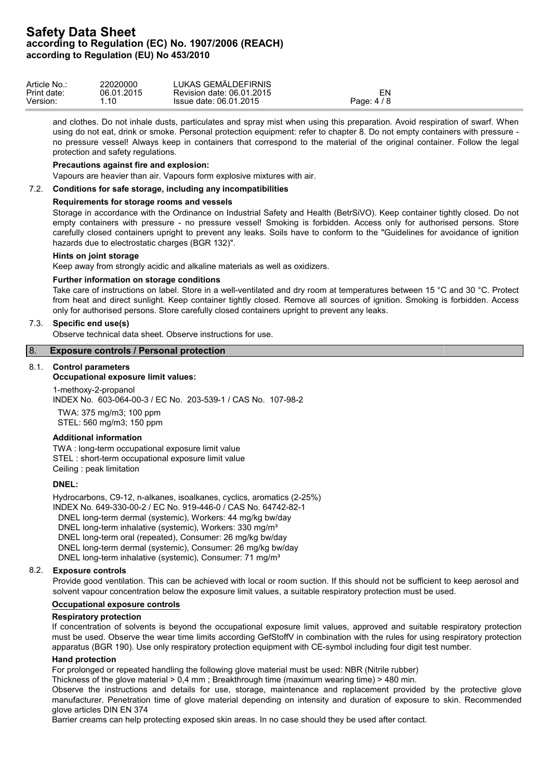| Article No  | 22020000   | LUKAS GEMÄLDEFIRNIS       |                                      |
|-------------|------------|---------------------------|--------------------------------------|
| Print date: | 06.01.2015 | Revision date: 06.01.2015 | =N                                   |
| Version:    | .10        | Issue date: 06.01.2015    | $\overline{1}$ O<br>Page: 4 $\prime$ |

and clothes. Do not inhale dusts, particulates and spray mist when using this preparation. Avoid respiration of swarf. When using do not eat, drink or smoke. Personal protection equipment: refer to chapter 8. Do not empty containers with pressure no pressure vessel! Always keep in containers that correspond to the material of the original container. Follow the legal protection and safety regulations.

### **Precautions against fire and explosion:**

Vapours are heavier than air. Vapours form explosive mixtures with air.

## 7.2. **Conditions for safe storage, including any incompatibilities**

### **Requirements for storage rooms and vessels**

Storage in accordance with the Ordinance on Industrial Safety and Health (BetrSiVO). Keep container tightly closed. Do not empty containers with pressure - no pressure vessel! Smoking is forbidden. Access only for authorised persons. Store carefully closed containers upright to prevent any leaks. Soils have to conform to the "Guidelines for avoidance of ignition hazards due to electrostatic charges (BGR 132)".

### **Hints on joint storage**

Keep away from strongly acidic and alkaline materials as well as oxidizers.

## **Further information on storage conditions**

Take care of instructions on label. Store in a well-ventilated and dry room at temperatures between 15 °C and 30 °C. Protect from heat and direct sunlight. Keep container tightly closed. Remove all sources of ignition. Smoking is forbidden. Access only for authorised persons. Store carefully closed containers upright to prevent any leaks.

# 7.3. **Specific end use(s)**

Observe technical data sheet. Observe instructions for use.

# 8. **Exposure controls / Personal protection**

## 8.1. **Control parameters**

## **Occupational exposure limit values:**

1-methoxy-2-propanol INDEX No. 603-064-00-3 / EC No. 203-539-1 / CAS No. 107-98-2

TWA: 375 mg/m3; 100 ppm STEL: 560 mg/m3; 150 ppm

## **Additional information**

TWA : long-term occupational exposure limit value STEL : short-term occupational exposure limit value Ceiling : peak limitation

### **DNEL:**

Hydrocarbons, C9-12, n-alkanes, isoalkanes, cyclics, aromatics (2-25%) INDEX No. 649-330-00-2 / EC No. 919-446-0 / CAS No. 64742-82-1 DNEL long-term dermal (systemic), Workers: 44 mg/kg bw/day DNEL long-term inhalative (systemic), Workers: 330 mg/m<sup>3</sup>

DNEL long-term oral (repeated), Consumer: 26 mg/kg bw/day

DNEL long-term dermal (systemic), Consumer: 26 mg/kg bw/day

DNEL long-term inhalative (systemic), Consumer: 71 mg/m<sup>3</sup>

## 8.2. **Exposure controls**

Provide good ventilation. This can be achieved with local or room suction. If this should not be sufficient to keep aerosol and solvent vapour concentration below the exposure limit values, a suitable respiratory protection must be used.

## **Occupational exposure controls**

# **Respiratory protection**

If concentration of solvents is beyond the occupational exposure limit values, approved and suitable respiratory protection must be used. Observe the wear time limits according GefStoffV in combination with the rules for using respiratory protection apparatus (BGR 190). Use only respiratory protection equipment with CE-symbol including four digit test number.

#### **Hand protection**

For prolonged or repeated handling the following glove material must be used: NBR (Nitrile rubber)

Thickness of the glove material > 0,4 mm ; Breakthrough time (maximum wearing time) > 480 min.

Observe the instructions and details for use, storage, maintenance and replacement provided by the protective glove manufacturer. Penetration time of glove material depending on intensity and duration of exposure to skin. Recommended glove articles DIN EN 374

Barrier creams can help protecting exposed skin areas. In no case should they be used after contact.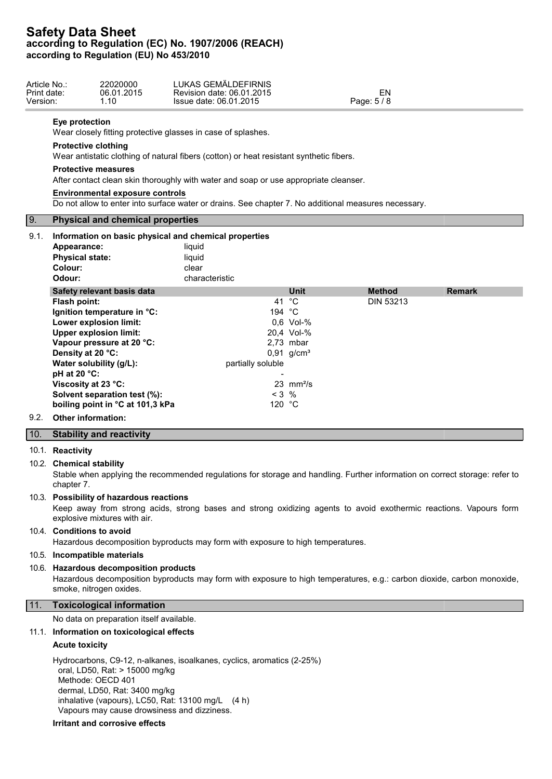| Article No.:<br>Print date:<br>Version: | 22020000<br>06.01.2015<br>1.10                                                                                                                 | LUKAS GEMÄLDEFIRNIS<br>Revision date: 06.01.2015<br>Issue date: 06.01.2015           |                                                                                         | EN<br>Page: $5/8$ |               |  |  |  |  |
|-----------------------------------------|------------------------------------------------------------------------------------------------------------------------------------------------|--------------------------------------------------------------------------------------|-----------------------------------------------------------------------------------------|-------------------|---------------|--|--|--|--|
|                                         | Eye protection                                                                                                                                 | Wear closely fitting protective glasses in case of splashes.                         |                                                                                         |                   |               |  |  |  |  |
|                                         | <b>Protective clothing</b>                                                                                                                     |                                                                                      | Wear antistatic clothing of natural fibers (cotton) or heat resistant synthetic fibers. |                   |               |  |  |  |  |
|                                         | <b>Protective measures</b>                                                                                                                     | After contact clean skin thoroughly with water and soap or use appropriate cleanser. |                                                                                         |                   |               |  |  |  |  |
|                                         | <b>Environmental exposure controls</b><br>Do not allow to enter into surface water or drains. See chapter 7. No additional measures necessary. |                                                                                      |                                                                                         |                   |               |  |  |  |  |
| <b>9.</b>                               | <b>Physical and chemical properties</b>                                                                                                        |                                                                                      |                                                                                         |                   |               |  |  |  |  |
| 9.1.                                    |                                                                                                                                                | Information on basic physical and chemical properties                                |                                                                                         |                   |               |  |  |  |  |
| Appearance:                             |                                                                                                                                                | liquid                                                                               |                                                                                         |                   |               |  |  |  |  |
|                                         | <b>Physical state:</b>                                                                                                                         | liquid                                                                               |                                                                                         |                   |               |  |  |  |  |
| Colour:                                 |                                                                                                                                                | clear                                                                                |                                                                                         |                   |               |  |  |  |  |
| Odour:                                  |                                                                                                                                                | characteristic                                                                       |                                                                                         |                   |               |  |  |  |  |
|                                         | Safety relevant basis data                                                                                                                     |                                                                                      | <b>Unit</b>                                                                             | <b>Method</b>     | <b>Remark</b> |  |  |  |  |
| Flash point:                            |                                                                                                                                                |                                                                                      | 41 °C                                                                                   | <b>DIN 53213</b>  |               |  |  |  |  |
|                                         | Ignition temperature in °C:                                                                                                                    | 194 °C                                                                               |                                                                                         |                   |               |  |  |  |  |
|                                         | Lower explosion limit:                                                                                                                         |                                                                                      | $0.6$ Vol-%                                                                             |                   |               |  |  |  |  |
|                                         | <b>Upper explosion limit:</b>                                                                                                                  |                                                                                      | 20,4 Vol-%                                                                              |                   |               |  |  |  |  |
|                                         | Vapour pressure at 20 °C:                                                                                                                      |                                                                                      | $2.73$ mbar                                                                             |                   |               |  |  |  |  |
|                                         | Density at 20 °C:                                                                                                                              |                                                                                      | $0,91$ g/cm <sup>3</sup>                                                                |                   |               |  |  |  |  |
| pH at 20 °C:                            | Water solubility (g/L):                                                                                                                        | partially soluble                                                                    |                                                                                         |                   |               |  |  |  |  |

9.2. **Other information:**

### 10. **Stability and reactivity**

### 10.1. **Reactivity**

#### 10.2. **Chemical stability**

Stable when applying the recommended regulations for storage and handling. Further information on correct storage: refer to chapter 7.

### 10.3. **Possibility of hazardous reactions**

Keep away from strong acids, strong bases and strong oxidizing agents to avoid exothermic reactions. Vapours form explosive mixtures with air.

### 10.4. **Conditions to avoid**

Hazardous decomposition byproducts may form with exposure to high temperatures.

**Viscosity at 23 °C:** 23 mm<sup>2</sup>/s **Solvent separation test (%):**  $<$  3 % **boiling point in °C at 101,3 kPa** 120 °C

### 10.5. **Incompatible materials**

## 10.6. **Hazardous decomposition products**

Hazardous decomposition byproducts may form with exposure to high temperatures, e.g.: carbon dioxide, carbon monoxide, smoke, nitrogen oxides.

# 11. **Toxicological information**

No data on preparation itself available.

### 11.1. **Information on toxicological effects**

#### **Acute toxicity**

Hydrocarbons, C9-12, n-alkanes, isoalkanes, cyclics, aromatics (2-25%) oral, LD50, Rat: > 15000 mg/kg Methode: OECD 401 dermal, LD50, Rat: 3400 mg/kg inhalative (vapours), LC50, Rat: 13100 mg/L (4 h) Vapours may cause drowsiness and dizziness.

### **Irritant and corrosive effects**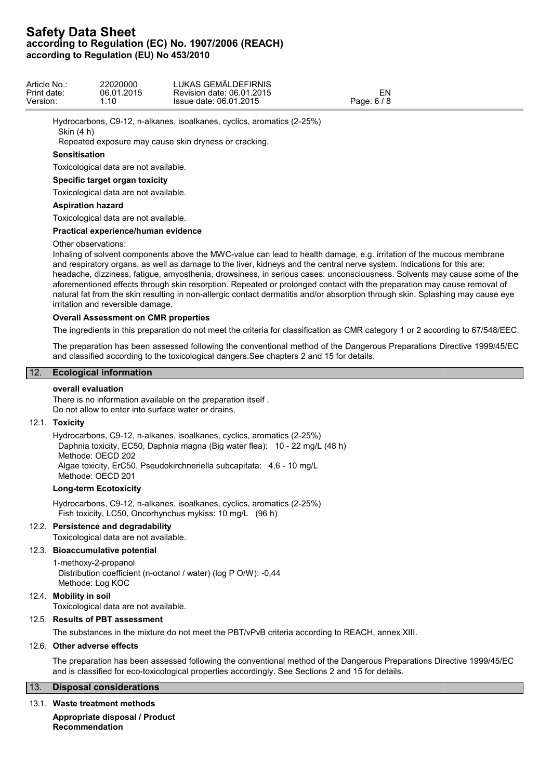| Article No  | 22020000   | LUKAS GEMÄLDEFIRNIS       |             |
|-------------|------------|---------------------------|-------------|
| Print date: | 06.01.2015 | Revision date: 06.01.2015 | ΞN          |
| Version:    | .10        | Issue date: 06.01.2015    | Page: 6 / 8 |

Hydrocarbons, C9-12, n-alkanes, isoalkanes, cyclics, aromatics (2-25%) Skin (4 h)

Repeated exposure may cause skin dryness or cracking.

## **Sensitisation**

Toxicological data are not available.

## **Specific target organ toxicity**

Toxicological data are not available.

## **Aspiration hazard**

Toxicological data are not available.

## **Practical experience/human evidence**

### Other observations:

Inhaling of solvent components above the MWC-value can lead to health damage, e.g. irritation of the mucous membrane and respiratory organs, as well as damage to the liver, kidneys and the central nerve system. Indications for this are: headache, dizziness, fatigue, amyosthenia, drowsiness, in serious cases: unconsciousness. Solvents may cause some of the aforementioned effects through skin resorption. Repeated or prolonged contact with the preparation may cause removal of natural fat from the skin resulting in non-allergic contact dermatitis and/or absorption through skin. Splashing may cause eye irritation and reversible damage.

## **Overall Assessment on CMR properties**

The ingredients in this preparation do not meet the criteria for classification as CMR category 1 or 2 according to 67/548/EEC.

The preparation has been assessed following the conventional method of the Dangerous Preparations Directive 1999/45/EC and classified according to the toxicological dangers.See chapters 2 and 15 for details.

## 12. **Ecological information**

### **overall evaluation**

There is no information available on the preparation itself . Do not allow to enter into surface water or drains.

## 12.1. **Toxicity**

Hydrocarbons, C9-12, n-alkanes, isoalkanes, cyclics, aromatics (2-25%) Daphnia toxicity, EC50, Daphnia magna (Big water flea): 10 - 22 mg/L (48 h) Methode: OECD 202 Algae toxicity, ErC50, Pseudokirchneriella subcapitata: 4,6 - 10 mg/L Methode: OECD 201

#### **Long-term Ecotoxicity**

Hydrocarbons, C9-12, n-alkanes, isoalkanes, cyclics, aromatics (2-25%) Fish toxicity, LC50, Oncorhynchus mykiss: 10 mg/L (96 h)

## 12.2. **Persistence and degradability**

Toxicological data are not available.

# 12.3. **Bioaccumulative potential**

1-methoxy-2-propanol Distribution coefficient (n-octanol / water) (log P O/W): -0,44

Methode: Log KOC

## 12.4. **Mobility in soil**

Toxicological data are not available.

## 12.5. **Results of PBT assessment**

The substances in the mixture do not meet the PBT/vPvB criteria according to REACH, annex XIII.

#### 12.6. **Other adverse effects**

The preparation has been assessed following the conventional method of the Dangerous Preparations Directive 1999/45/EC and is classified for eco-toxicological properties accordingly. See Sections 2 and 15 for details.

# 13. **Disposal considerations**

#### 13.1. **Waste treatment methods**

**Appropriate disposal / Product Recommendation**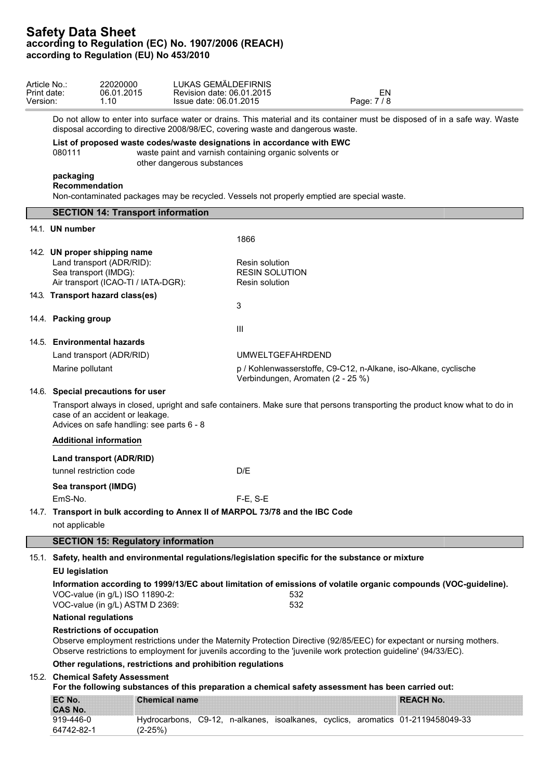| Article No.:<br>Print date:<br>Version: |                                                                                                                                                                                                             | 22020000<br>06.01.2015<br>1.10                                                                                                                                                                                                                                                   | LUKAS GEMÄLDEFIRNIS<br>Revision date: 06.01.2015<br>Issue date: 06.01.2015 |                                                           |                                                                                                      | EN<br>Page: 7/8                                                                                                              |  |  |
|-----------------------------------------|-------------------------------------------------------------------------------------------------------------------------------------------------------------------------------------------------------------|----------------------------------------------------------------------------------------------------------------------------------------------------------------------------------------------------------------------------------------------------------------------------------|----------------------------------------------------------------------------|-----------------------------------------------------------|------------------------------------------------------------------------------------------------------|------------------------------------------------------------------------------------------------------------------------------|--|--|
|                                         |                                                                                                                                                                                                             | disposal according to directive 2008/98/EC, covering waste and dangerous waste.                                                                                                                                                                                                  |                                                                            |                                                           |                                                                                                      | Do not allow to enter into surface water or drains. This material and its container must be disposed of in a safe way. Waste |  |  |
|                                         | List of proposed waste codes/waste designations in accordance with EWC<br>080111<br>waste paint and varnish containing organic solvents or<br>other dangerous substances                                    |                                                                                                                                                                                                                                                                                  |                                                                            |                                                           |                                                                                                      |                                                                                                                              |  |  |
|                                         | packaging<br><b>Recommendation</b>                                                                                                                                                                          |                                                                                                                                                                                                                                                                                  |                                                                            |                                                           | Non-contaminated packages may be recycled. Vessels not properly emptied are special waste.           |                                                                                                                              |  |  |
|                                         |                                                                                                                                                                                                             | <b>SECTION 14: Transport information</b>                                                                                                                                                                                                                                         |                                                                            |                                                           |                                                                                                      |                                                                                                                              |  |  |
|                                         | 14.1. UN number                                                                                                                                                                                             |                                                                                                                                                                                                                                                                                  |                                                                            | 1866                                                      |                                                                                                      |                                                                                                                              |  |  |
|                                         |                                                                                                                                                                                                             | 14.2. UN proper shipping name<br>Land transport (ADR/RID):<br>Sea transport (IMDG):<br>Air transport (ICAO-TI / IATA-DGR):                                                                                                                                                       |                                                                            | Resin solution<br><b>RESIN SOLUTION</b><br>Resin solution |                                                                                                      |                                                                                                                              |  |  |
|                                         |                                                                                                                                                                                                             | 14.3. Transport hazard class(es)                                                                                                                                                                                                                                                 |                                                                            |                                                           |                                                                                                      |                                                                                                                              |  |  |
|                                         | 14.4. Packing group                                                                                                                                                                                         |                                                                                                                                                                                                                                                                                  |                                                                            | 3                                                         |                                                                                                      |                                                                                                                              |  |  |
|                                         |                                                                                                                                                                                                             | 14.5. Environmental hazards                                                                                                                                                                                                                                                      |                                                                            | $\mathbf{III}$                                            |                                                                                                      |                                                                                                                              |  |  |
|                                         |                                                                                                                                                                                                             | Land transport (ADR/RID)                                                                                                                                                                                                                                                         |                                                                            | <b>UMWELTGEFÄHRDEND</b>                                   |                                                                                                      |                                                                                                                              |  |  |
|                                         | Marine pollutant                                                                                                                                                                                            |                                                                                                                                                                                                                                                                                  |                                                                            |                                                           | Verbindungen, Aromaten (2 - 25 %)                                                                    | p / Kohlenwasserstoffe, C9-C12, n-Alkane, iso-Alkane, cyclische                                                              |  |  |
|                                         |                                                                                                                                                                                                             | 14.6. Special precautions for user                                                                                                                                                                                                                                               |                                                                            |                                                           |                                                                                                      |                                                                                                                              |  |  |
|                                         | Transport always in closed, upright and safe containers. Make sure that persons transporting the product know what to do in<br>case of an accident or leakage.<br>Advices on safe handling: see parts 6 - 8 |                                                                                                                                                                                                                                                                                  |                                                                            |                                                           |                                                                                                      |                                                                                                                              |  |  |
|                                         |                                                                                                                                                                                                             | <b>Additional information</b>                                                                                                                                                                                                                                                    |                                                                            |                                                           |                                                                                                      |                                                                                                                              |  |  |
|                                         |                                                                                                                                                                                                             | Land transport (ADR/RID)<br>tunnel restriction code                                                                                                                                                                                                                              |                                                                            | D/E                                                       |                                                                                                      |                                                                                                                              |  |  |
|                                         |                                                                                                                                                                                                             | Sea transport (IMDG)                                                                                                                                                                                                                                                             |                                                                            |                                                           |                                                                                                      |                                                                                                                              |  |  |
|                                         | EmS-No.                                                                                                                                                                                                     |                                                                                                                                                                                                                                                                                  |                                                                            | $F-E$ , $S-E$                                             |                                                                                                      |                                                                                                                              |  |  |
|                                         |                                                                                                                                                                                                             | 14.7. Transport in bulk according to Annex II of MARPOL 73/78 and the IBC Code                                                                                                                                                                                                   |                                                                            |                                                           |                                                                                                      |                                                                                                                              |  |  |
|                                         | not applicable                                                                                                                                                                                              |                                                                                                                                                                                                                                                                                  |                                                                            |                                                           |                                                                                                      |                                                                                                                              |  |  |
|                                         |                                                                                                                                                                                                             | <b>SECTION 15: Regulatory information</b>                                                                                                                                                                                                                                        |                                                                            |                                                           |                                                                                                      |                                                                                                                              |  |  |
|                                         |                                                                                                                                                                                                             |                                                                                                                                                                                                                                                                                  |                                                                            |                                                           | 15.1. Safety, health and environmental regulations/legislation specific for the substance or mixture |                                                                                                                              |  |  |
|                                         | <b>EU legislation</b>                                                                                                                                                                                       |                                                                                                                                                                                                                                                                                  |                                                                            |                                                           |                                                                                                      |                                                                                                                              |  |  |
|                                         | Information according to 1999/13/EC about limitation of emissions of volatile organic compounds (VOC-guideline).<br>VOC-value (in g/L) ISO 11890-2:<br>532<br>VOC-value (in g/L) ASTM D 2369:<br>532        |                                                                                                                                                                                                                                                                                  |                                                                            |                                                           |                                                                                                      |                                                                                                                              |  |  |
|                                         | <b>National regulations</b>                                                                                                                                                                                 |                                                                                                                                                                                                                                                                                  |                                                                            |                                                           |                                                                                                      |                                                                                                                              |  |  |
|                                         |                                                                                                                                                                                                             | <b>Restrictions of occupation</b><br>Observe employment restrictions under the Maternity Protection Directive (92/85/EEC) for expectant or nursing mothers.<br>Observe restrictions to employment for juvenils according to the 'juvenile work protection guideline' (94/33/EC). |                                                                            |                                                           |                                                                                                      |                                                                                                                              |  |  |
|                                         |                                                                                                                                                                                                             | Other regulations, restrictions and prohibition regulations                                                                                                                                                                                                                      |                                                                            |                                                           |                                                                                                      |                                                                                                                              |  |  |
|                                         |                                                                                                                                                                                                             | 15.2. Chemical Safety Assessment                                                                                                                                                                                                                                                 |                                                                            |                                                           |                                                                                                      | For the following substances of this preparation a chemical safety assessment has been carried out:                          |  |  |
|                                         | EC No.                                                                                                                                                                                                      |                                                                                                                                                                                                                                                                                  | <b>Chemical name</b>                                                       |                                                           |                                                                                                      | <b>REACH No.</b>                                                                                                             |  |  |
|                                         | <b>CAS No.</b>                                                                                                                                                                                              |                                                                                                                                                                                                                                                                                  |                                                                            |                                                           |                                                                                                      |                                                                                                                              |  |  |
|                                         | 919-446-0<br>64742-82-1                                                                                                                                                                                     | $(2-25%)$                                                                                                                                                                                                                                                                        |                                                                            |                                                           |                                                                                                      | Hydrocarbons, C9-12, n-alkanes, isoalkanes, cyclics, aromatics 01-2119458049-33                                              |  |  |